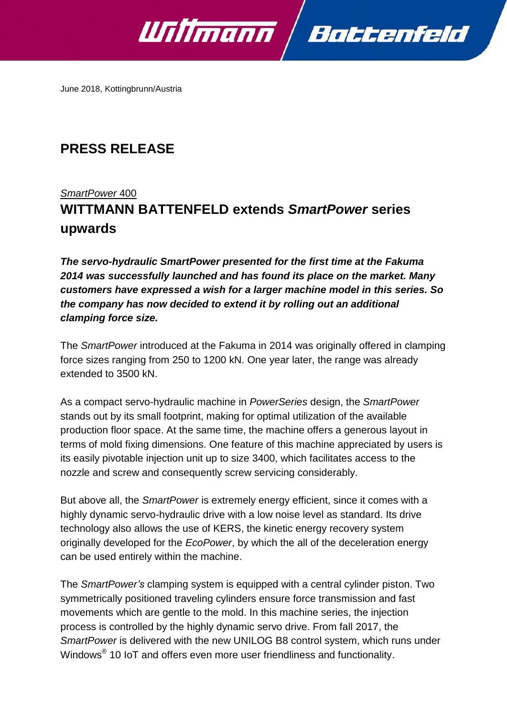

June 2018, Kottingbrunn/Austria

# **PRESS RELEASE**

## *SmartPower* 400

# **WITTMANN BATTENFELD extends** *SmartPower* **series upwards**

*The servo-hydraulic SmartPower presented for the first time at the Fakuma 2014 was successfully launched and has found its place on the market. Many customers have expressed a wish for a larger machine model in this series. So the company has now decided to extend it by rolling out an additional clamping force size.*

The *SmartPower* introduced at the Fakuma in 2014 was originally offered in clamping force sizes ranging from 250 to 1200 kN. One year later, the range was already extended to 3500 kN.

As a compact servo-hydraulic machine in *PowerSeries* design, the *SmartPower*  stands out by its small footprint, making for optimal utilization of the available production floor space. At the same time, the machine offers a generous layout in terms of mold fixing dimensions. One feature of this machine appreciated by users is its easily pivotable injection unit up to size 3400, which facilitates access to the nozzle and screw and consequently screw servicing considerably.

But above all, the *SmartPower* is extremely energy efficient, since it comes with a highly dynamic servo-hydraulic drive with a low noise level as standard. Its drive technology also allows the use of KERS, the kinetic energy recovery system originally developed for the *EcoPower*, by which the all of the deceleration energy can be used entirely within the machine.

The *SmartPower's* clamping system is equipped with a central cylinder piston. Two symmetrically positioned traveling cylinders ensure force transmission and fast movements which are gentle to the mold. In this machine series, the injection process is controlled by the highly dynamic servo drive. From fall 2017, the *SmartPower* is delivered with the new UNILOG B8 control system, which runs under Windows $^{\circledR}$  10 IoT and offers even more user friendliness and functionality.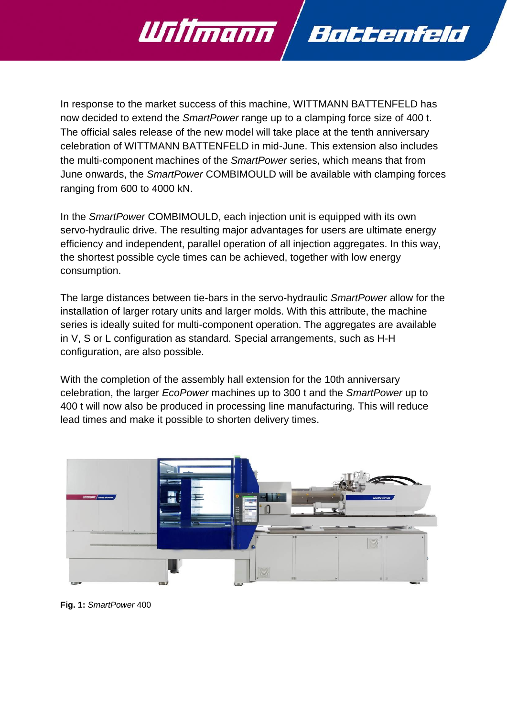

In response to the market success of this machine, WITTMANN BATTENFELD has now decided to extend the *SmartPower* range up to a clamping force size of 400 t. The official sales release of the new model will take place at the tenth anniversary celebration of WITTMANN BATTENFELD in mid-June. This extension also includes the multi-component machines of the *SmartPower* series, which means that from June onwards, the *SmartPower* COMBIMOULD will be available with clamping forces ranging from 600 to 4000 kN.

In the *SmartPower* COMBIMOULD, each injection unit is equipped with its own servo-hydraulic drive. The resulting major advantages for users are ultimate energy efficiency and independent, parallel operation of all injection aggregates. In this way, the shortest possible cycle times can be achieved, together with low energy consumption.

The large distances between tie-bars in the servo-hydraulic *SmartPower* allow for the installation of larger rotary units and larger molds. With this attribute, the machine series is ideally suited for multi-component operation. The aggregates are available in V, S or L configuration as standard. Special arrangements, such as H-H configuration, are also possible.

With the completion of the assembly hall extension for the 10th anniversary celebration, the larger *EcoPower* machines up to 300 t and the *SmartPower* up to 400 t will now also be produced in processing line manufacturing. This will reduce lead times and make it possible to shorten delivery times.



**Fig. 1:** *SmartPower* 400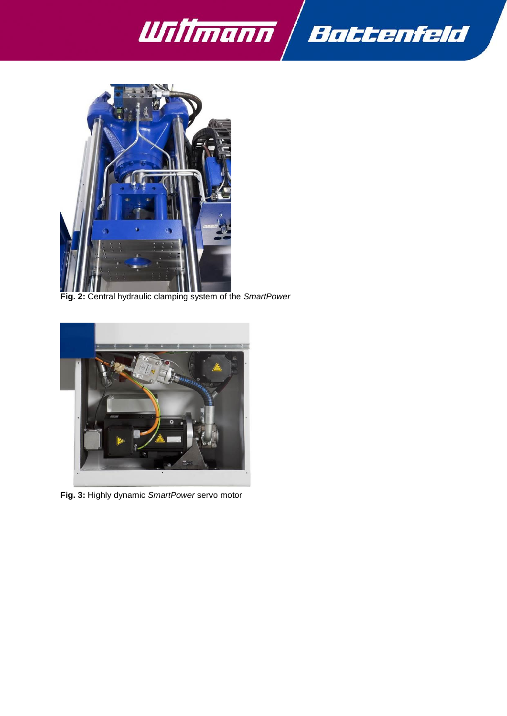



**Fig. 2:** Central hydraulic clamping system of the *SmartPower*



**Fig. 3:** Highly dynamic *SmartPower* servo motor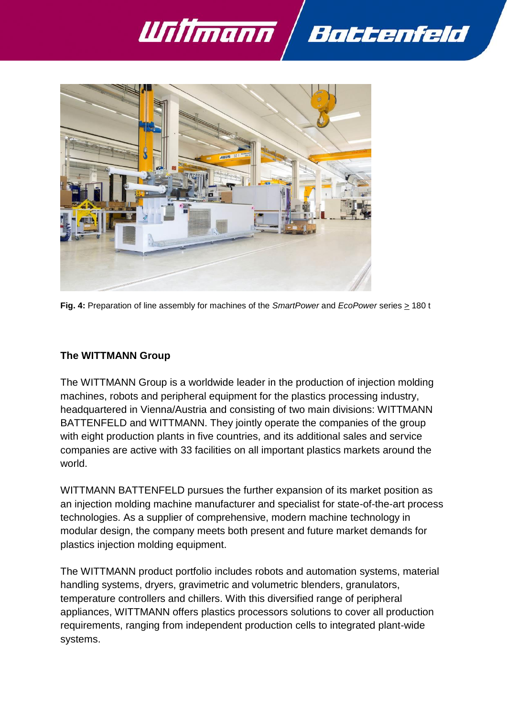



**Fig. 4:** Preparation of line assembly for machines of the *SmartPower* and *EcoPower* series > 180 t

### **The WITTMANN Group**

The WITTMANN Group is a worldwide leader in the production of injection molding machines, robots and peripheral equipment for the plastics processing industry, headquartered in Vienna/Austria and consisting of two main divisions: WITTMANN BATTENFELD and WITTMANN. They jointly operate the companies of the group with eight production plants in five countries, and its additional sales and service companies are active with 33 facilities on all important plastics markets around the world.

WITTMANN BATTENFELD pursues the further expansion of its market position as an injection molding machine manufacturer and specialist for state-of-the-art process technologies. As a supplier of comprehensive, modern machine technology in modular design, the company meets both present and future market demands for plastics injection molding equipment.

The WITTMANN product portfolio includes robots and automation systems, material handling systems, dryers, gravimetric and volumetric blenders, granulators, temperature controllers and chillers. With this diversified range of peripheral appliances, WITTMANN offers plastics processors solutions to cover all production requirements, ranging from independent production cells to integrated plant-wide systems.